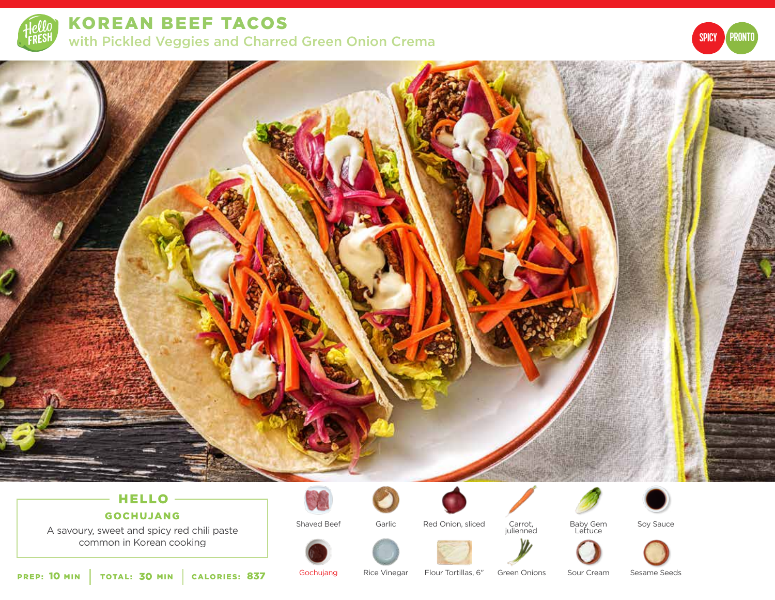

KOREAN BEEF TACOS with Pickled Veggies and Charred Green Onion Crema





# HELLO

## GOCHUJANG

A savoury, sweet and spicy red chili paste common in Korean cooking

Shaved Beef





Carrot, julienned



Soy Sauce



PREP: 10 MIN | TOTAL: 30 MIN | CALORIES:

Gochujang Rice Vinegar Green Onions Flour Tortillas, 6" 837

Sour Cream Sesame Seeds